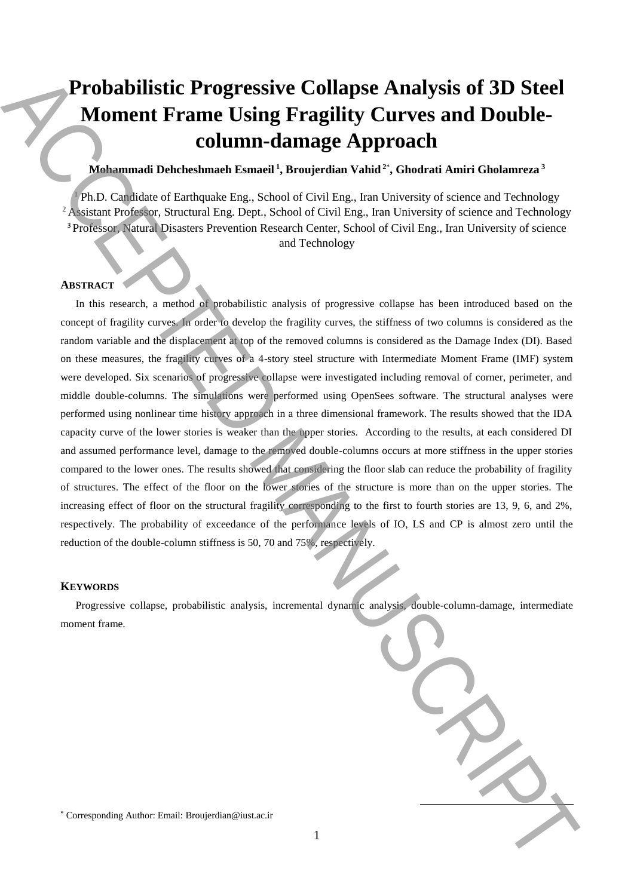# **Probabilistic Progressive Collapse Analysis of 3D Steel Moment Frame Using Fragility Curves and Doublecolumn-damage Approach**

## **Mohammadi Dehcheshmaeh Esmaeil <sup>1</sup> , Broujerdian Vahid <sup>2</sup>**\* **, Ghodrati Amiri Gholamreza <sup>3</sup>**

<sup>1</sup> Ph.D. Candidate of Earthquake Eng., School of Civil Eng., Iran University of science and Technology <sup>2</sup> Assistant Professor, Structural Eng. Dept., School of Civil Eng., Iran University of science and Technology <sup>3</sup> Professor, Natural Disasters Prevention Research Center, School of Civil Eng., Iran University of science and Technology

## **ABSTRACT**

In this research, a method of probabilistic analysis of progressive collapse has been introduced based on the concept of fragility curves. In order to develop the fragility curves, the stiffness of two columns is considered as the random variable and the displacement at top of the removed columns is considered as the Damage Index (DI). Based on these measures, the fragility curves of a 4-story steel structure with Intermediate Moment Frame (IMF) system were developed. Six scenarios of progressive collapse were investigated including removal of corner, perimeter, and middle double-columns. The simulations were performed using OpenSees software. The structural analyses were performed using nonlinear time history approach in a three dimensional framework. The results showed that the IDA capacity curve of the lower stories is weaker than the upper stories. According to the results, at each considered DI and assumed performance level, damage to the removed double-columns occurs at more stiffness in the upper stories compared to the lower ones. The results showed that considering the floor slab can reduce the probability of fragility of structures. The effect of the floor on the lower stories of the structure is more than on the upper stories. The increasing effect of floor on the structural fragility corresponding to the first to fourth stories are 13, 9, 6, and 2%, respectively. The probability of exceedance of the performance levels of IO, LS and CP is almost zero until the reduction of the double-column stiffness is 50, 70 and 75%, respectively. **Probabilistic Progressive Collapse Analysis of 3D Steel<br>
Moment Frame Using Fragility Curves and Double-<br>
Momenta Detections and Hample Approach<br>
Manuscription (Similar Authorities Approach)<br>
(Fin Collection distribution** 

#### **KEYWORDS**

Progressive collapse, probabilistic analysis, incremental dynamic analysis, double-column-damage, intermediate moment frame.

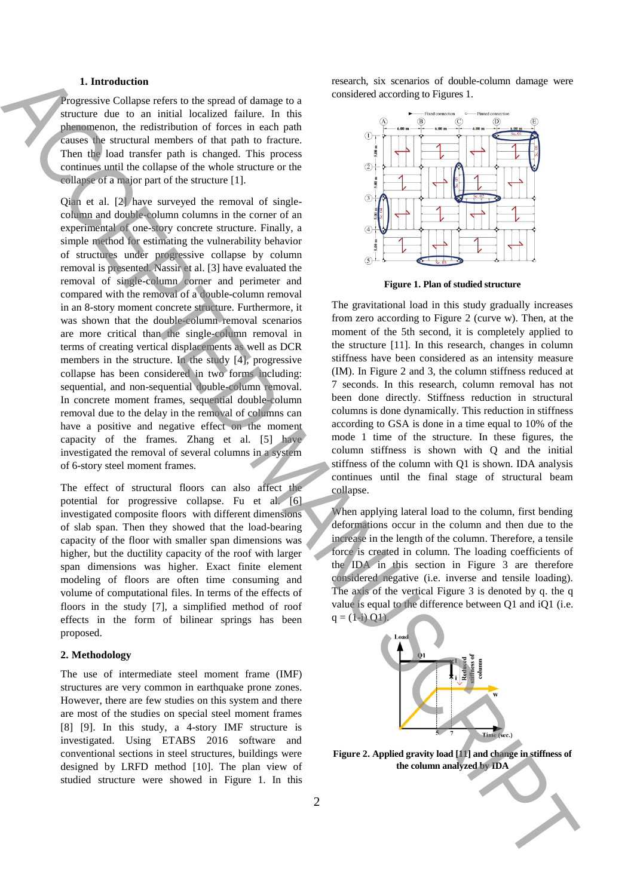#### **1. Introduction**

Progressive Collapse refers to the spread of damage to a structure due to an initial localized failure. In this phenomenon, the redistribution of forces in each path causes the structural members of that path to fracture. Then the load transfer path is changed. This process continues until the collapse of the whole structure or the collapse of a major part of the structure [1].

Qian et al. [2] have surveyed the removal of singlecolumn and double-column columns in the corner of an experimental of one-story concrete structure. Finally, a simple method for estimating the vulnerability behavior of structures under progressive collapse by column removal is presented. Nassir et al. [3] have evaluated the removal of single-column corner and perimeter and compared with the removal of a double-column removal in an 8-story moment concrete structure. Furthermore, it was shown that the double-column removal scenarios are more critical than the single-column removal in terms of creating vertical displacements as well as DCR members in the structure. In the study [4], progressive collapse has been considered in two forms including: sequential, and non-sequential double-column removal. In concrete moment frames, sequential double-column removal due to the delay in the removal of columns can have a positive and negative effect on the moment capacity of the frames. Zhang et al. [5] have investigated the removal of several columns in a system of 6-story steel moment frames. **1.** The column and the speed of damage on the search of search of detection of search of search of the search of the search of the search of the search of the search of the search of the search of the search of the searc

The effect of structural floors can also affect the potential for progressive collapse. Fu et al. [6] investigated composite floors with different dimensions of slab span. Then they showed that the load-bearing capacity of the floor with smaller span dimensions was higher, but the ductility capacity of the roof with larger span dimensions was higher. Exact finite element modeling of floors are often time consuming and volume of computational files. In terms of the effects of floors in the study [7], a simplified method of roof effects in the form of bilinear springs has been proposed.

#### **2. Methodology**

The use of intermediate steel moment frame (IMF) structures are very common in earthquake prone zones. However, there are few studies on this system and there are most of the studies on special steel moment frames [8] [9]. In this study, a 4-story IMF structure is investigated. Using ETABS 2016 software and conventional sections in steel structures, buildings were designed by LRFD method [10]. The plan view of studied structure were showed in Figure 1. In this research, six scenarios of double-column damage were considered according to Figures 1.



**Figure 1. Plan of studied structure**

The gravitational load in this study gradually increases from zero according to Figure 2 (curve w). Then, at the moment of the 5th second, it is completely applied to the structure [11]. In this research, changes in column stiffness have been considered as an intensity measure (IM). In Figure 2 and 3, the column stiffness reduced at 7 seconds. In this research, column removal has not been done directly. Stiffness reduction in structural columns is done dynamically. This reduction in stiffness according to GSA is done in a time equal to 10% of the mode 1 time of the structure. In these figures, the column stiffness is shown with Q and the initial stiffness of the column with Q1 is shown. IDA analysis continues until the final stage of structural beam collapse.

When applying lateral load to the column, first bending deformations occur in the column and then due to the increase in the length of the column. Therefore, a tensile force is created in column. The loading coefficients of the IDA in this section in Figure 3 are therefore considered negative (i.e. inverse and tensile loading). The axis of the vertical Figure 3 is denoted by q. the q value is equal to the difference between Q1 and iQ1 (i.e.  $q = (1 - i)$  Q1).



**Figure 2. Applied gravity load [11] and change in stiffness of**